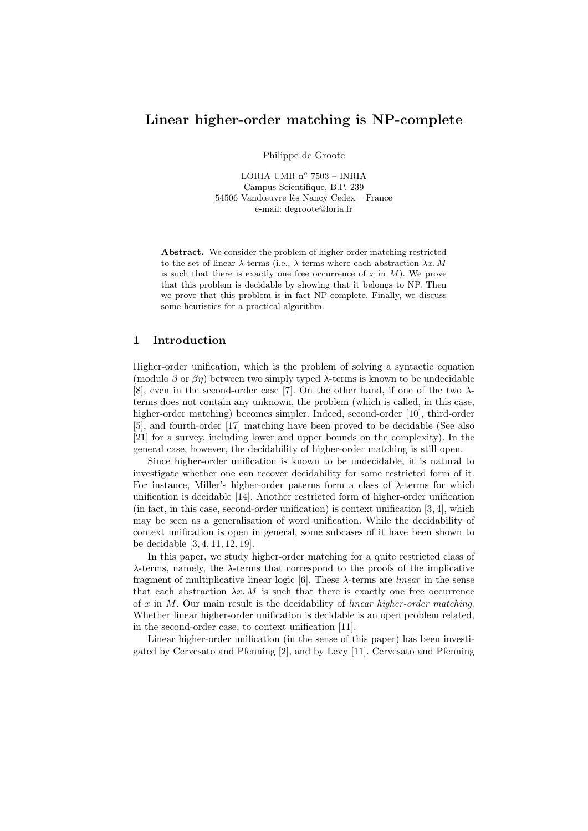# Linear higher-order matching is NP-complete

Philippe de Groote

LORIA UMR $n^o$ 7503 – INRIA Campus Scientifique, B.P. 239 54506 Vandœuvre lès Nancy Cedex – France e-mail: degroote@loria.fr

Abstract. We consider the problem of higher-order matching restricted to the set of linear  $\lambda$ -terms (i.e.,  $\lambda$ -terms where each abstraction  $\lambda x. M$ is such that there is exactly one free occurrence of  $x$  in  $M$ ). We prove that this problem is decidable by showing that it belongs to NP. Then we prove that this problem is in fact NP-complete. Finally, we discuss some heuristics for a practical algorithm.

## 1 Introduction

Higher-order unification, which is the problem of solving a syntactic equation (modulo  $\beta$  or  $\beta\eta$ ) between two simply typed  $\lambda$ -terms is known to be undecidable [8], even in the second-order case [7]. On the other hand, if one of the two  $\lambda$ terms does not contain any unknown, the problem (which is called, in this case, higher-order matching) becomes simpler. Indeed, second-order [10], third-order [5], and fourth-order [17] matching have been proved to be decidable (See also [21] for a survey, including lower and upper bounds on the complexity). In the general case, however, the decidability of higher-order matching is still open.

Since higher-order unification is known to be undecidable, it is natural to investigate whether one can recover decidability for some restricted form of it. For instance, Miller's higher-order paterns form a class of  $\lambda$ -terms for which unification is decidable [14]. Another restricted form of higher-order unification  $(in fact, in this case, second-order unification)$  is context unification  $[3, 4]$ , which may be seen as a generalisation of word unification. While the decidability of context unification is open in general, some subcases of it have been shown to be decidable [3, 4, 11, 12, 19].

In this paper, we study higher-order matching for a quite restricted class of  $\lambda$ -terms, namely, the  $\lambda$ -terms that correspond to the proofs of the implicative fragment of multiplicative linear logic [6]. These  $\lambda$ -terms are *linear* in the sense that each abstraction  $\lambda x. M$  is such that there is exactly one free occurrence of  $x$  in  $M$ . Our main result is the decidability of *linear higher-order matching*. Whether linear higher-order unification is decidable is an open problem related, in the second-order case, to context unification [11].

Linear higher-order unification (in the sense of this paper) has been investigated by Cervesato and Pfenning [2], and by Levy [11]. Cervesato and Pfenning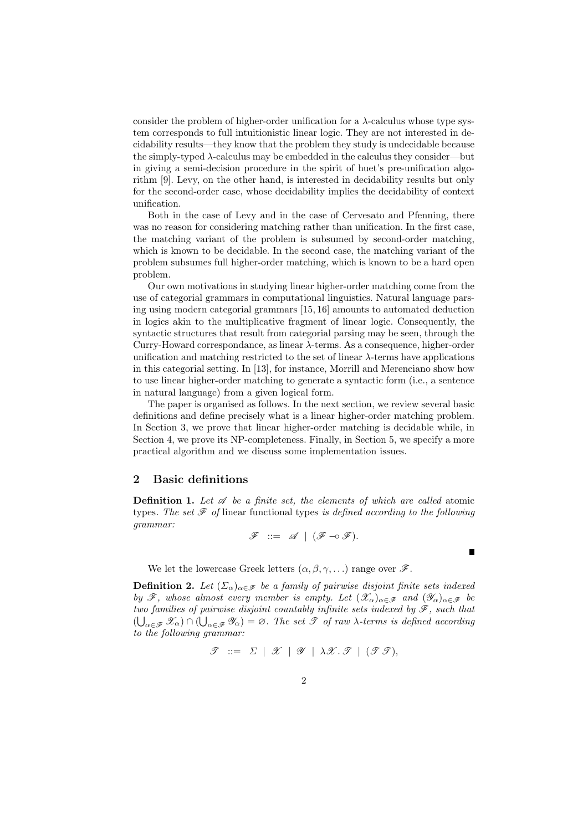consider the problem of higher-order unification for a  $\lambda$ -calculus whose type system corresponds to full intuitionistic linear logic. They are not interested in decidability results—they know that the problem they study is undecidable because the simply-typed  $\lambda$ -calculus may be embedded in the calculus they consider—but in giving a semi-decision procedure in the spirit of huet's pre-unification algorithm [9]. Levy, on the other hand, is interested in decidability results but only for the second-order case, whose decidability implies the decidability of context unification.

Both in the case of Levy and in the case of Cervesato and Pfenning, there was no reason for considering matching rather than unification. In the first case, the matching variant of the problem is subsumed by second-order matching, which is known to be decidable. In the second case, the matching variant of the problem subsumes full higher-order matching, which is known to be a hard open problem.

Our own motivations in studying linear higher-order matching come from the use of categorial grammars in computational linguistics. Natural language parsing using modern categorial grammars [15, 16] amounts to automated deduction in logics akin to the multiplicative fragment of linear logic. Consequently, the syntactic structures that result from categorial parsing may be seen, through the Curry-Howard correspondance, as linear λ-terms. As a consequence, higher-order unification and matching restricted to the set of linear  $\lambda$ -terms have applications in this categorial setting. In [13], for instance, Morrill and Merenciano show how to use linear higher-order matching to generate a syntactic form (i.e., a sentence in natural language) from a given logical form.

The paper is organised as follows. In the next section, we review several basic definitions and define precisely what is a linear higher-order matching problem. In Section 3, we prove that linear higher-order matching is decidable while, in Section 4, we prove its NP-completeness. Finally, in Section 5, we specify a more practical algorithm and we discuss some implementation issues.

### 2 Basic definitions

**Definition 1.** Let  $\mathscr A$  be a finite set, the elements of which are called atomic types. The set  $\mathscr F$  of linear functional types is defined according to the following grammar:

$$
\mathscr{F} \ ::= \ \mathscr{A} \ \mid \ (\mathscr{F} \multimap \mathscr{F}).
$$

 $\blacksquare$ 

We let the lowercase Greek letters  $(\alpha, \beta, \gamma, \ldots)$  range over  $\mathscr{F}$ .

**Definition 2.** Let  $(\Sigma_{\alpha})_{\alpha \in \mathscr{F}}$  be a family of pairwise disjoint finite sets indexed by F, whose almost every member is empty. Let  $(\mathscr{X}_{\alpha})_{\alpha \in \mathscr{F}}$  and  $(\mathscr{Y}_{\alpha})_{\alpha \in \mathscr{F}}$  be two families of pairwise disjoint countably infinite sets indexed by  $\mathscr F$ , such that  $(\bigcup_{\alpha \in \mathscr{F}} \mathscr{X}_{\alpha}) \cap (\bigcup_{\alpha \in \mathscr{F}} \mathscr{Y}_{\alpha}) = \varnothing$ . The set  $\mathscr{T}$  of raw  $\lambda$ -terms is defined according to the following grammar:

$$
\mathscr{T} \ ::= \ \varSigma \ \vert \ \ \mathscr{X} \ \vert \ \ \mathscr{Y} \ \vert \ \ \lambda \mathscr{X}.\, \mathscr{T} \ \vert \ \ (\mathscr{T}\,\mathscr{T}),
$$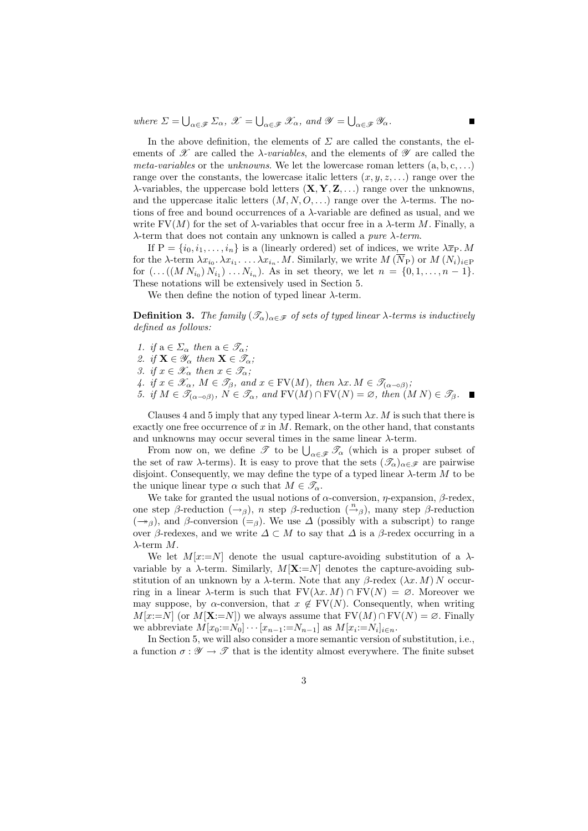where  $\Sigma = \bigcup_{\alpha \in \mathscr{F}} \Sigma_{\alpha}, \ \mathscr{X} = \bigcup_{\alpha \in \mathscr{F}} \mathscr{X}_{\alpha}, \text{ and } \mathscr{Y} = \bigcup_{\alpha \in \mathscr{F}} \mathscr{Y}_{\alpha}.$ 

In the above definition, the elements of  $\Sigma$  are called the constants, the elements of X are called the  $\lambda$ -variables, and the elements of Y are called the meta-variables or the unknowns. We let the lowercase roman letters  $(a, b, c, ...)$ range over the constants, the lowercase italic letters  $(x, y, z, \ldots)$  range over the  $\lambda$ -variables, the uppercase bold letters  $(X, Y, Z, ...)$  range over the unknowns, and the uppercase italic letters  $(M, N, O, ...)$  range over the  $\lambda$ -terms. The notions of free and bound occurrences of a  $\lambda$ -variable are defined as usual, and we write FV(M) for the set of  $\lambda$ -variables that occur free in a  $\lambda$ -term M. Finally, a  $λ$ -term that does not contain any unknown is called a *pure*  $λ$ *-term*.

Г

If  $P = \{i_0, i_1, \ldots, i_n\}$  is a (linearly ordered) set of indices, we write  $\lambda \overline{x}_{P}$ . M for the  $\lambda$ -term  $\lambda x_{i_0}$ .  $\lambda x_{i_1}$ . ...  $\lambda x_{i_n}$ . M. Similarly, we write  $M(N_P)$  or  $M(N_i)_{i \in P}$ for  $(\ldots((MN_{i_0})N_{i_1})\ldots N_{i_n})$ . As in set theory, we let  $n = \{0,1,\ldots,n-1\}$ . These notations will be extensively used in Section 5.

We then define the notion of typed linear  $\lambda$ -term.

**Definition 3.** The family  $(\mathscr{T}_{\alpha})_{\alpha \in \mathscr{F}}$  of sets of typed linear  $\lambda$ -terms is inductively defined as follows:

- 1. if  $a \in \Sigma_{\alpha}$  then  $a \in \mathscr{T}_{\alpha}$ ;
- 2. if  $\mathbf{X} \in \mathscr{Y}_{\alpha}$  then  $\mathbf{X} \in \mathscr{T}_{\alpha}$ ;
- 3. if  $x \in \mathscr{X}_{\alpha}$  then  $x \in \mathscr{T}_{\alpha}$ ;
- 4. if  $x \in \mathscr{X}_{\alpha}$ ,  $M \in \mathscr{T}_{\beta}$ , and  $x \in \text{FV}(M)$ , then  $\lambda x \cdot M \in \mathscr{T}_{(\alpha-\beta)}$ ;
- 5. if  $M \in \mathcal{T}_{(\alpha-\alpha\beta)}, N \in \mathcal{T}_{\alpha}$ , and  $\text{FV}(M) \cap \text{FV}(N) = \varnothing$ , then  $(M N) \in \mathcal{T}_{\beta}$ .

Clauses 4 and 5 imply that any typed linear  $\lambda$ -term  $\lambda x$ . M is such that there is exactly one free occurrence of  $x$  in  $M$ . Remark, on the other hand, that constants and unknowns may occur several times in the same linear  $\lambda$ -term.

From now on, we define  $\mathscr T$  to be  $\bigcup_{\alpha \in \mathscr F} \mathscr T_\alpha$  (which is a proper subset of the set of raw  $\lambda$ -terms). It is easy to prove that the sets  $(\mathscr{T}_{\alpha})_{\alpha \in \mathscr{F}}$  are pairwise disjoint. Consequently, we may define the type of a typed linear  $\lambda$ -term M to be the unique linear type  $\alpha$  such that  $M \in \mathscr{T}_{\alpha}$ .

We take for granted the usual notions of  $\alpha$ -conversion,  $\eta$ -expansion,  $\beta$ -redex, one step β-reduction ( $\rightarrow$ β), n step β-reduction ( $\rightarrow$ β), many step β-reduction  $(\rightarrow_{\beta})$ , and  $\beta$ -conversion  $(=\beta)$ . We use  $\Delta$  (possibly with a subscript) to range over β-redexes, and we write  $\Delta \subset M$  to say that  $\Delta$  is a β-redex occurring in a  $\lambda$ -term  $M$ .

We let  $M[x:=N]$  denote the usual capture-avoiding substitution of a  $\lambda$ variable by a  $\lambda$ -term. Similarly,  $M[\mathbf{X}:=N]$  denotes the capture-avoiding substitution of an unknown by a  $\lambda$ -term. Note that any  $\beta$ -redex  $(\lambda x. M) N$  occurring in a linear  $\lambda$ -term is such that  $FV(\lambda x. M) \cap FV(N) = \emptyset$ . Moreover we may suppose, by  $\alpha$ -conversion, that  $x \notin FV(N)$ . Consequently, when writing  $M[x:=N]$  (or  $M[X:=N])$  we always assume that  $FV(M) \cap FV(N) = \emptyset$ . Finally we abbreviate  $M[x_0:=N_0]\cdots[x_{n-1}:=N_{n-1}]$  as  $M[x_i:=N_i]_{i\in n}$ .

In Section 5, we will also consider a more semantic version of substitution, i.e., a function  $\sigma : \mathscr{Y} \to \mathscr{T}$  that is the identity almost everywhere. The finite subset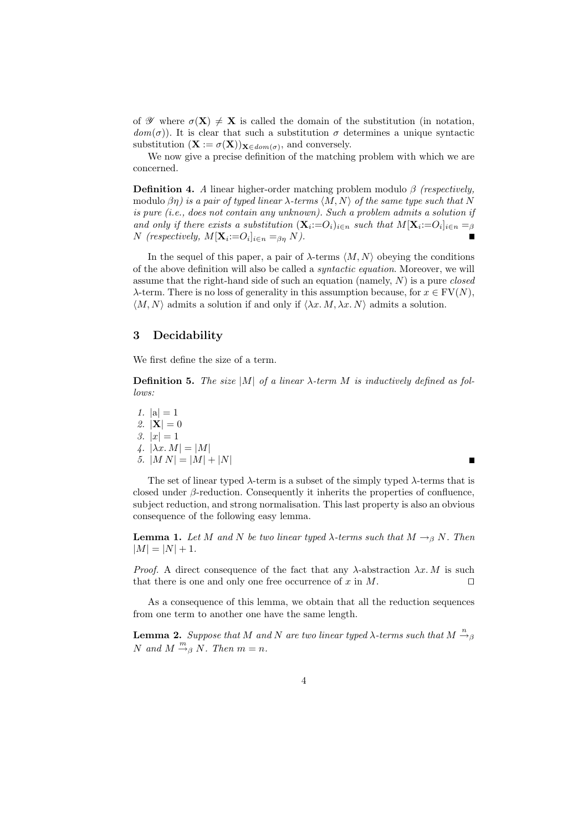of Y where  $\sigma(\mathbf{X}) \neq \mathbf{X}$  is called the domain of the substitution (in notation,  $dom(\sigma)$ ). It is clear that such a substitution  $\sigma$  determines a unique syntactic substitution  $(\mathbf{X} := \sigma(\mathbf{X}))_{\mathbf{X} \in dom(\sigma)}$ , and conversely.

We now give a precise definition of the matching problem with which we are concerned.

**Definition 4.** A linear higher-order matching problem modulo  $\beta$  (respectively, modulo  $\beta \eta$ ) is a pair of typed linear  $\lambda$ -terms  $\langle M, N \rangle$  of the same type such that N is pure (i.e., does not contain any unknown). Such a problem admits a solution if and only if there exists a substitution  $(X_i=O_i)_{i\in n}$  such that  $M[X_i=O_i]_{i\in n} = \beta$ N (respectively,  $M[\mathbf{X}_i:=O_i]_{i\in n} =_{\beta\eta} N$ ). Ē

In the sequel of this paper, a pair of  $\lambda$ -terms  $\langle M, N \rangle$  obeying the conditions of the above definition will also be called a syntactic equation. Moreover, we will assume that the right-hand side of such an equation (namely,  $N$ ) is a pure *closed*  $\lambda$ -term. There is no loss of generality in this assumption because, for  $x \in FV(N)$ ,  $\langle M, N \rangle$  admits a solution if and only if  $\langle \lambda x. M, \lambda x. N \rangle$  admits a solution.

#### 3 Decidability

We first define the size of a term.

**Definition 5.** The size  $|M|$  of a linear  $\lambda$ -term M is inductively defined as follows:

1.  $|a| = 1$ 2.  $|\mathbf{X}| = 0$ 3.  $|x| = 1$  $\left| \mathcal{A} \right| \cdot | \lambda x \cdot M | = |M|$ 5.  $|M N| = |M| + |N|$ 

The set of linear typed  $\lambda$ -term is a subset of the simply typed  $\lambda$ -terms that is closed under  $\beta$ -reduction. Consequently it inherits the properties of confluence, subject reduction, and strong normalisation. This last property is also an obvious consequence of the following easy lemma.

Ē

**Lemma 1.** Let M and N be two linear typed  $\lambda$ -terms such that  $M \rightarrow_{\beta} N$ . Then  $|M| = |N| + 1.$ 

*Proof.* A direct consequence of the fact that any  $\lambda$ -abstraction  $\lambda x$ . M is such that there is one and only one free occurrence of x in M.  $\Box$ 

As a consequence of this lemma, we obtain that all the reduction sequences from one term to another one have the same length.

**Lemma 2.** Suppose that M and N are two linear typed  $\lambda$ -terms such that M  $\frac{n}{\rightarrow}$ <sub>β</sub> N and  $M \stackrel{m}{\rightarrow}_{\beta} N$ . Then  $m = n$ .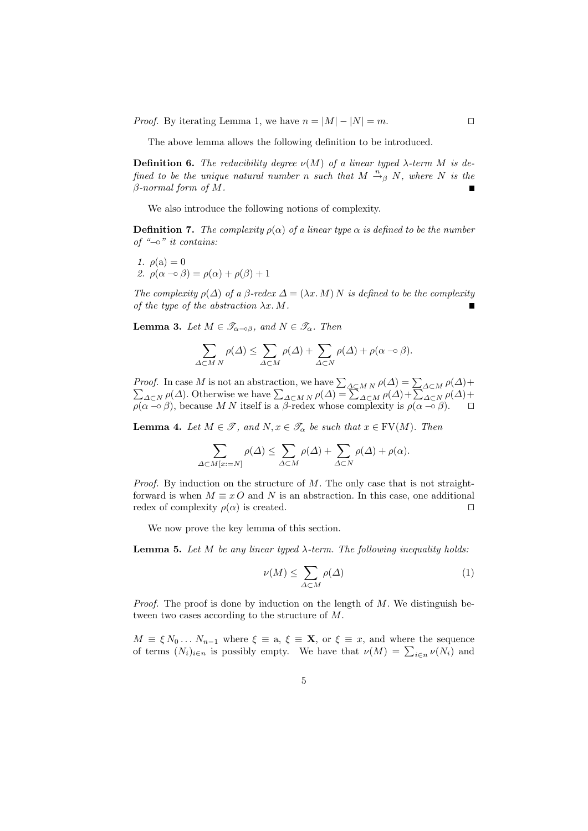*Proof.* By iterating Lemma 1, we have  $n = |M| - |N| = m$ .

The above lemma allows the following definition to be introduced.

**Definition 6.** The reducibility degree  $\nu(M)$  of a linear typed  $\lambda$ -term M is defined to be the unique natural number n such that  $M \stackrel{n}{\rightarrow}_{\beta} N$ , where N is the β-normal form of M.

We also introduce the following notions of complexity.

**Definition 7.** The complexity  $\rho(\alpha)$  of a linear type  $\alpha$  is defined to be the number of "−◦" it contains:

1. 
$$
\rho(\mathbf{a}) = 0
$$
  
2.  $\rho(\alpha \rightarrow \beta) = \rho(\alpha) + \rho(\beta) + 1$ 

The complexity  $\rho(\Delta)$  of a  $\beta$ -redex  $\Delta = (\lambda x. M) N$  is defined to be the complexity of the type of the abstraction  $\lambda x. M$ .

**Lemma 3.** Let  $M \in \mathscr{T}_{\alpha-\circ\beta}$ , and  $N \in \mathscr{T}_{\alpha}$ . Then

$$
\sum_{\Delta \subset M \ N} \rho(\Delta) \leq \sum_{\Delta \subset M} \rho(\Delta) + \sum_{\Delta \subset N} \rho(\Delta) + \rho(\alpha \multimap \beta).
$$

*Proof.* In case M is not an abstraction, we have  $\sum_{\Delta \subset M} P(\Delta) = \sum_{\Delta \subset M} P(\Delta)$  $\sum$  $\Delta_{\text{C}M}$   $\rho(\Delta)$ +  $\Delta_{\text{C}} N \rho(\Delta)$ . Otherwise we have  $\sum_{\Delta \subset M N} \rho(\Delta) = \sum_{\Delta \subset M} \rho(\Delta) + \sum_{\Delta \subset N} \rho(\Delta) +$  $\rho(\alpha \to \beta)$ , because M N itself is a  $\beta$ -redex whose complexity is  $\rho(\alpha \to \beta)$ .  $\square$ 

**Lemma 4.** Let  $M \in \mathcal{T}$ , and  $N, x \in \mathcal{T}_\alpha$  be such that  $x \in \text{FV}(M)$ . Then

$$
\sum_{\Delta \subset M[x:=N]} \rho(\Delta) \leq \sum_{\Delta \subset M} \rho(\Delta) + \sum_{\Delta \subset N} \rho(\Delta) + \rho(\alpha).
$$

*Proof.* By induction on the structure of  $M$ . The only case that is not straightforward is when  $M \equiv x Q$  and N is an abstraction. In this case, one additional redex of complexity  $\rho(\alpha)$  is created.

We now prove the key lemma of this section.

**Lemma 5.** Let M be any linear typed  $\lambda$ -term. The following inequality holds:

$$
\nu(M) \le \sum_{\Delta \subset M} \rho(\Delta) \tag{1}
$$

*Proof.* The proof is done by induction on the length of  $M$ . We distinguish between two cases according to the structure of M.

 $M \equiv \xi N_0 \dots N_{n-1}$  where  $\xi \equiv a, \xi \equiv \mathbf{X}$ , or  $\xi \equiv x$ , and where the sequence of terms  $(N_i)_{i \in n}$  is possibly empty. We have that  $\nu(M) = \sum_{i \in n} \nu(N_i)$  and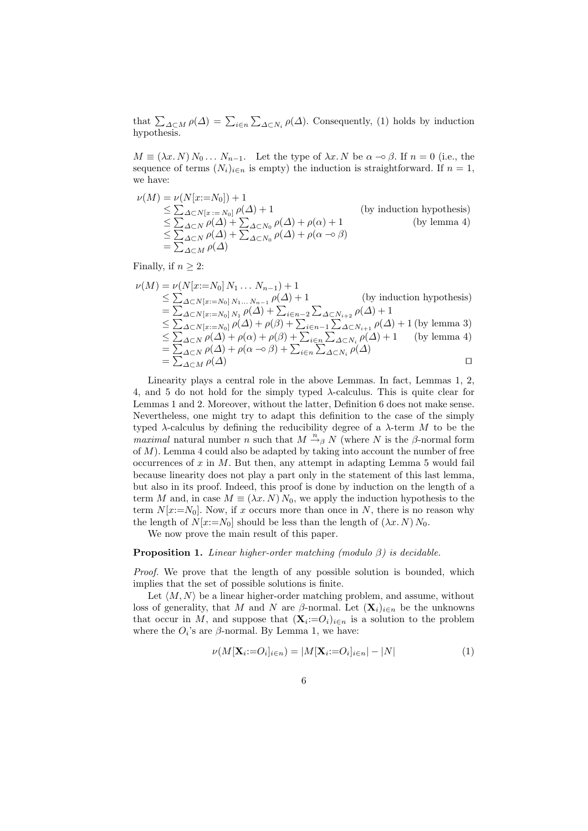that  $\sum_{\Delta \subset M} \rho(\Delta) = \sum_{i \in n} \sum_{\Delta \subset N_i} \rho(\Delta)$ . Consequently, (1) holds by induction hypothesis.

 $M \equiv (\lambda x. N) N_0 \ldots N_{n-1}$ . Let the type of  $\lambda x. N$  be  $\alpha \sim \beta$ . If  $n = 0$  (i.e., the sequence of terms  $(N_i)_{i\in n}$  is empty) the induction is straightforward. If  $n=1$ , we have:

$$
\nu(M) = \nu(N[x:=N_0]) + 1
$$
\n
$$
\leq \sum_{\Delta \subset N[x:=N_0]} \rho(\Delta) + 1
$$
 (by induction hypothesis)\n
$$
\leq \sum_{\Delta \subset N} \rho(\Delta) + \sum_{\Delta \subset N_0} \rho(\Delta) + \rho(\alpha) + 1
$$
 (by lemma 4)\n
$$
\leq \sum_{\Delta \subset N} \rho(\Delta) + \sum_{\Delta \subset N_0} \rho(\Delta) + \rho(\alpha - \sigma \beta)
$$

Finally, if  $n \geq 2$ :

$$
\nu(M) = \nu(N[x:=N_0] N_1 \dots N_{n-1}) + 1
$$
\n
$$
\leq \sum_{\Delta \subset N[x:=N_0] N_1 \dots N_{n-1}} \rho(\Delta) + 1
$$
 (by induction hypothesis)\n
$$
= \sum_{\Delta \subset N[x:=N_0] N_1} \rho(\Delta) + \sum_{i \in n-2} \sum_{\Delta \subset N_{i+2}} \rho(\Delta) + 1
$$
\n
$$
\leq \sum_{\Delta \subset N[x:=N_0]}\rho(\Delta) + \rho(\beta) + \sum_{i \in n-1} \sum_{\Delta \subset N_{i+1}} \rho(\Delta) + 1
$$
 (by lemma 3)\n
$$
\leq \sum_{\Delta \subset N} \rho(\Delta) + \rho(\alpha) + \rho(\beta) + \sum_{i \in n} \sum_{\Delta \subset N_i} \rho(\Delta) + 1
$$
 (by lemma 4)\n
$$
= \sum_{\Delta \subset N} \rho(\Delta) + \rho(\alpha - \beta) + \sum_{i \in n} \sum_{\Delta \subset N_i} \rho(\Delta)
$$
\n
$$
= \sum_{\Delta \subset M} \rho(\Delta)
$$

Linearity plays a central role in the above Lemmas. In fact, Lemmas 1, 2, 4, and 5 do not hold for the simply typed  $\lambda$ -calculus. This is quite clear for Lemmas 1 and 2. Moreover, without the latter, Definition 6 does not make sense. Nevertheless, one might try to adapt this definition to the case of the simply typed  $\lambda$ -calculus by defining the reducibility degree of a  $\lambda$ -term M to be the *maximal* natural number n such that  $M \stackrel{n}{\rightarrow} \stackrel{\circ}{\beta} N$  (where N is the  $\beta$ -normal form of  $M$ ). Lemma 4 could also be adapted by taking into account the number of free occurrences of  $x$  in  $M$ . But then, any attempt in adapting Lemma 5 would fail because linearity does not play a part only in the statement of this last lemma, but also in its proof. Indeed, this proof is done by induction on the length of a term M and, in case  $M \equiv (\lambda x. N) N_0$ , we apply the induction hypothesis to the term  $N[x:=N_0]$ . Now, if x occurs more than once in N, there is no reason why the length of  $N[x:=N_0]$  should be less than the length of  $(\lambda x. N) N_0$ .

We now prove the main result of this paper.

#### **Proposition 1.** Linear higher-order matching (modulo  $\beta$ ) is decidable.

Proof. We prove that the length of any possible solution is bounded, which implies that the set of possible solutions is finite.

Let  $\langle M, N \rangle$  be a linear higher-order matching problem, and assume, without loss of generality, that M and N are  $\beta$ -normal. Let  $(\mathbf{X}_i)_{i\in n}$  be the unknowns that occur in M, and suppose that  $(X_i=O_i)_{i\in n}$  is a solution to the problem where the  $O_i$ 's are  $\beta$ -normal. By Lemma 1, we have:

$$
\nu(M[\mathbf{X}_i := O_i]_{i \in n}) = |M[\mathbf{X}_i := O_i]_{i \in n}| - |N| \tag{1}
$$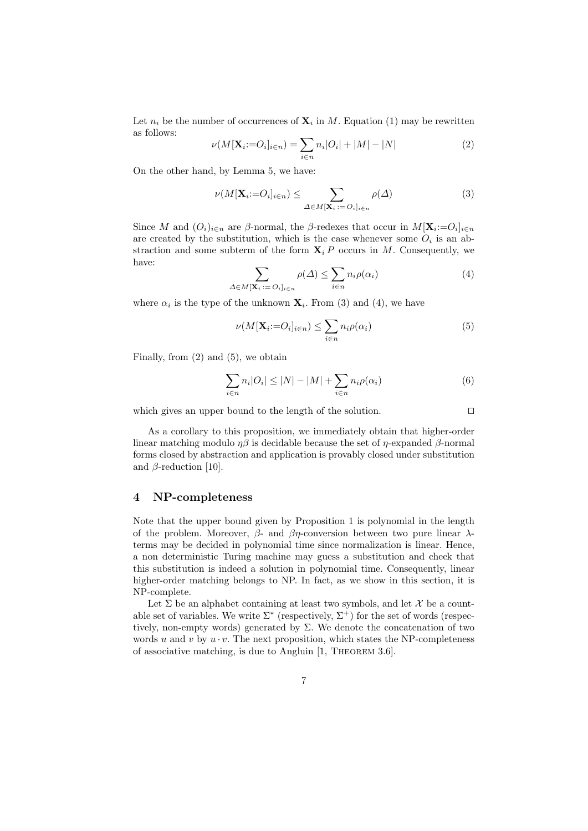Let  $n_i$  be the number of occurrences of  $\mathbf{X}_i$  in M. Equation (1) may be rewritten as follows:

$$
\nu(M[\mathbf{X}_i := O_i]_{i \in n}) = \sum_{i \in n} n_i |O_i| + |M| - |N| \tag{2}
$$

On the other hand, by Lemma 5, we have:

$$
\nu(M[\mathbf{X}_i := O_i]_{i \in n}) \le \sum_{\Delta \in M[\mathbf{X}_i := O_i]_{i \in n}} \rho(\Delta) \tag{3}
$$

Since M and  $(O_i)_{i \in n}$  are  $\beta$ -normal, the  $\beta$ -redexes that occur in  $M[\mathbf{X}_i=O_i]_{i \in n}$ are created by the substitution, which is the case whenever some  $O_i$  is an abstraction and some subterm of the form  $X_i P$  occurs in M. Consequently, we have:

$$
\sum_{\Delta \in M[\mathbf{X}_i := O_i]_{i \in n}} \rho(\Delta) \le \sum_{i \in n} n_i \rho(\alpha_i)
$$
\n(4)

where  $\alpha_i$  is the type of the unknown  $\mathbf{X}_i$ . From (3) and (4), we have

$$
\nu(M[\mathbf{X}_i := O_i]_{i \in n}) \le \sum_{i \in n} n_i \rho(\alpha_i)
$$
\n(5)

Finally, from  $(2)$  and  $(5)$ , we obtain

$$
\sum_{i \in n} n_i |O_i| \le |N| - |M| + \sum_{i \in n} n_i \rho(\alpha_i) \tag{6}
$$

which gives an upper bound to the length of the solution.  $\Box$ 

As a corollary to this proposition, we immediately obtain that higher-order linear matching modulo  $\eta\beta$  is decidable because the set of  $\eta$ -expanded  $\beta$ -normal forms closed by abstraction and application is provably closed under substitution and  $\beta$ -reduction [10].

#### 4 NP-completeness

Note that the upper bound given by Proposition 1 is polynomial in the length of the problem. Moreover,  $\beta$ - and  $\beta\eta$ -conversion between two pure linear  $\lambda$ terms may be decided in polynomial time since normalization is linear. Hence, a non deterministic Turing machine may guess a substitution and check that this substitution is indeed a solution in polynomial time. Consequently, linear higher-order matching belongs to NP. In fact, as we show in this section, it is NP-complete.

Let  $\Sigma$  be an alphabet containing at least two symbols, and let X be a countable set of variables. We write  $\Sigma^*$  (respectively,  $\Sigma^+$ ) for the set of words (respectively, non-empty words) generated by  $\Sigma$ . We denote the concatenation of two words u and v by  $u \cdot v$ . The next proposition, which states the NP-completeness of associative matching, is due to Angluin [1, Theorem 3.6].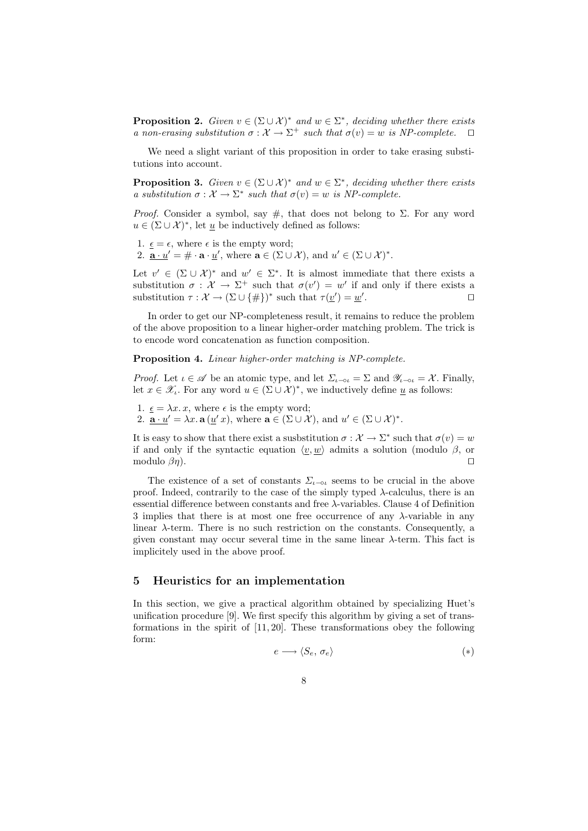**Proposition 2.** Given  $v \in (\Sigma \cup \mathcal{X})^*$  and  $w \in \Sigma^*$ , deciding whether there exists a non-erasing substitution  $\sigma : \mathcal{X} \to \Sigma^+$  such that  $\sigma(v) = w$  is NP-complete.  $\Box$ 

We need a slight variant of this proposition in order to take erasing substitutions into account.

**Proposition 3.** Given  $v \in (\Sigma \cup \mathcal{X})^*$  and  $w \in \Sigma^*$ , deciding whether there exists a substitution  $\sigma : \mathcal{X} \to \Sigma^*$  such that  $\sigma(v) = w$  is NP-complete.

*Proof.* Consider a symbol, say  $\#$ , that does not belong to  $\Sigma$ . For any word  $u \in (\Sigma \cup \mathcal{X})^*$ , let  $\underline{u}$  be inductively defined as follows:

1.  $\epsilon = \epsilon$ , where  $\epsilon$  is the empty word;

2.  $\underline{\mathbf{a}} \cdot \underline{u}' = \# \cdot \mathbf{a} \cdot \underline{u}'$ , where  $\mathbf{a} \in (\Sigma \cup \mathcal{X})$ , and  $u' \in (\Sigma \cup \mathcal{X})^*$ .

Let  $v' \in (\Sigma \cup \mathcal{X})^*$  and  $w' \in \Sigma^*$ . It is almost immediate that there exists a substitution  $\sigma : \mathcal{X} \to \Sigma^+$  such that  $\sigma(v') = w'$  if and only if there exists a substitution  $\tau : \mathcal{X} \to (\Sigma \cup \{\#\})^*$  such that  $\tau(\underline{v}') = \underline{w}'$ . The contract of  $\Box$ 

In order to get our NP-completeness result, it remains to reduce the problem of the above proposition to a linear higher-order matching problem. The trick is to encode word concatenation as function composition.

Proposition 4. Linear higher-order matching is NP-complete.

*Proof.* Let  $\iota \in \mathscr{A}$  be an atomic type, and let  $\Sigma_{\iota \neg \circ \iota} = \Sigma$  and  $\mathscr{Y}_{\iota \neg \circ \iota} = \mathscr{X}$ . Finally, let  $x \in \mathscr{X}_\iota$ . For any word  $u \in (\Sigma \cup \mathcal{X})^*$ , we inductively define  $\underline{u}$  as follows:

- 1.  $\epsilon = \lambda x \cdot x$ , where  $\epsilon$  is the empty word;
- 2.  $\underline{\mathbf{a}} \cdot \underline{u}' = \lambda x. \underline{\mathbf{a}} (\underline{u}' x)$ , where  $\underline{\mathbf{a}} \in (\Sigma \cup \mathcal{X})$ , and  $u' \in (\Sigma \cup \mathcal{X})^*$ .

It is easy to show that there exist a susbstitution  $\sigma : \mathcal{X} \to \Sigma^*$  such that  $\sigma(v) = w$ if and only if the syntactic equation  $\langle v, w \rangle$  admits a solution (modulo β, or modulo  $\beta\eta$ ).

The existence of a set of constants  $\Sigma_{\iota-\alpha}$  seems to be crucial in the above proof. Indeed, contrarily to the case of the simply typed  $\lambda$ -calculus, there is an essential difference between constants and free  $\lambda$ -variables. Clause 4 of Definition 3 implies that there is at most one free occurrence of any  $\lambda$ -variable in any linear  $\lambda$ -term. There is no such restriction on the constants. Consequently, a given constant may occur several time in the same linear  $\lambda$ -term. This fact is implicitely used in the above proof.

#### 5 Heuristics for an implementation

In this section, we give a practical algorithm obtained by specializing Huet's unification procedure [9]. We first specify this algorithm by giving a set of transformations in the spirit of [11, 20]. These transformations obey the following form:

$$
e \longrightarrow \langle S_e, \sigma_e \rangle \tag{*}
$$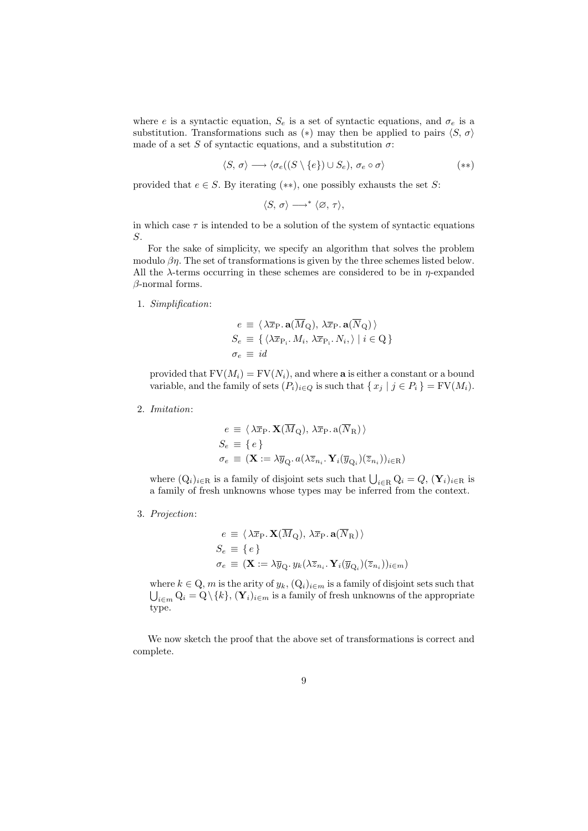where e is a syntactic equation,  $S_e$  is a set of syntactic equations, and  $\sigma_e$  is a substitution. Transformations such as (\*) may then be applied to pairs  $\langle S, \sigma \rangle$ made of a set S of syntactic equations, and a substitution  $\sigma$ :

$$
\langle S, \sigma \rangle \longrightarrow \langle \sigma_e((S \setminus \{e\}) \cup S_e), \sigma_e \circ \sigma \rangle \tag{**}
$$

provided that  $e \in S$ . By iterating  $(**)$ , one possibly exhausts the set S:

$$
\langle S, \sigma \rangle \longrightarrow^* \langle \varnothing, \tau \rangle,
$$

in which case  $\tau$  is intended to be a solution of the system of syntactic equations S.

For the sake of simplicity, we specify an algorithm that solves the problem modulo  $\beta\eta$ . The set of transformations is given by the three schemes listed below. All the  $\lambda$ -terms occurring in these schemes are considered to be in  $\eta$ -expanded  $\beta$ -normal forms.

1. Simplification:

$$
e \equiv \langle \lambda \overline{x}_{P} . \mathbf{a}(\overline{M}_{Q}), \lambda \overline{x}_{P} . \mathbf{a}(\overline{N}_{Q}) \rangle
$$
  
\n
$$
S_{e} \equiv \{ \langle \lambda \overline{x}_{P_{i}} . M_{i}, \lambda \overline{x}_{P_{i}} . N_{i}, \rangle \mid i \in Q \}
$$
  
\n
$$
\sigma_{e} \equiv id
$$

provided that  $FV(M_i) = FV(N_i)$ , and where **a** is either a constant or a bound variable, and the family of sets  $(P_i)_{i\in Q}$  is such that  $\{x_j | j \in P_i\} = \text{FV}(M_i)$ .

#### 2. Imitation:

$$
e \equiv \langle \lambda \overline{x}_{P} . \mathbf{X}(M_{Q}), \lambda \overline{x}_{P} . a(N_{R}) \rangle
$$
  
\n
$$
S_{e} \equiv \{ e \}
$$
  
\n
$$
\sigma_{e} \equiv (\mathbf{X} := \lambda \overline{y}_{Q} . a(\lambda \overline{z}_{n_{i}} . \mathbf{Y}_{i}(\overline{y}_{Q_{i}})(\overline{z}_{n_{i}}))_{i \in R})
$$

where  $(Q_i)_{i \in R}$  is a family of disjoint sets such that  $\bigcup_{i \in R} Q_i = Q$ ,  $(\mathbf{Y}_i)_{i \in R}$  is a family of fresh unknowns whose types may be inferred from the context.

#### 3. Projection:

$$
e \equiv \langle \lambda \overline{x}_{P} . \mathbf{X}(M_{Q}), \lambda \overline{x}_{P} . \mathbf{a}(N_{R}) \rangle
$$
  
\n
$$
S_{e} \equiv \{ e \}
$$
  
\n
$$
\sigma_{e} \equiv (\mathbf{X} := \lambda \overline{y}_{Q} . y_{k}(\lambda \overline{z}_{n_{i}} . \mathbf{Y}_{i}(\overline{y}_{Q_{i}})(\overline{z}_{n_{i}}))_{i \in m})
$$

where  $k \in \mathbb{Q}$ , m is the arity of  $y_k$ ,  $(\mathbb{Q}_i)_{i \in m}$  is a family of disjoint sets such that  $\bigcup_{i \in m} Q_i = Q \setminus \{k\}, (\mathbf{Y}_i)_{i \in m}$  is a family of fresh unknowns of the appropriate type.

We now sketch the proof that the above set of transformations is correct and complete.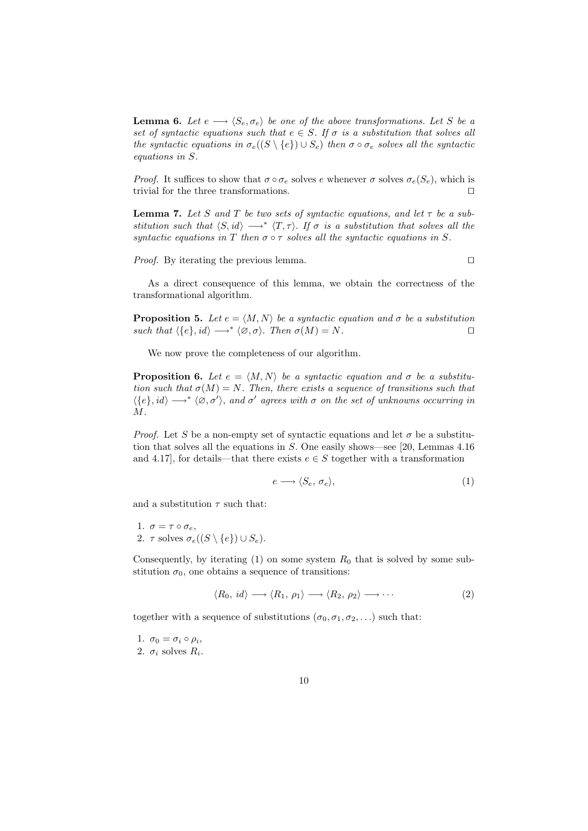**Lemma 6.** Let  $e \longrightarrow \langle S_e, \sigma_e \rangle$  be one of the above transformations. Let S be a set of syntactic equations such that  $e \in S$ . If  $\sigma$  is a substitution that solves all the syntactic equations in  $\sigma_e((S \setminus \{e\}) \cup S_e)$  then  $\sigma \circ \sigma_e$  solves all the syntactic equations in S.

*Proof.* It suffices to show that  $\sigma \circ \sigma_e$  solves  $e$  whenever  $\sigma$  solves  $\sigma_e(S_e)$ , which is trivial for the three transformations.  $\Box$ 

**Lemma 7.** Let S and T be two sets of syntactic equations, and let  $\tau$  be a substitution such that  $\langle S, id \rangle \longrightarrow^* \langle T, \tau \rangle$ . If  $\sigma$  is a substitution that solves all the syntactic equations in T then  $\sigma \circ \tau$  solves all the syntactic equations in S.

*Proof.* By iterating the previous lemma.  $\Box$ 

As a direct consequence of this lemma, we obtain the correctness of the transformational algorithm.

**Proposition 5.** Let  $e = \langle M, N \rangle$  be a syntactic equation and  $\sigma$  be a substitution such that  $\langle \{e\}, id \rangle \longrightarrow^* \langle \emptyset, \sigma \rangle$ . Then  $\sigma(M) = N$ .

We now prove the completeness of our algorithm.

**Proposition 6.** Let  $e = \langle M, N \rangle$  be a syntactic equation and  $\sigma$  be a substitution such that  $\sigma(M) = N$ . Then, there exists a sequence of transitions such that  $\langle \{e\}, id \rangle \longrightarrow^* \langle \emptyset, \sigma' \rangle$ , and  $\sigma'$  agrees with  $\sigma$  on the set of unknowns occurring in  $M$ .

*Proof.* Let S be a non-empty set of syntactic equations and let  $\sigma$  be a substitution that solves all the equations in S. One easily shows—see [20, Lemmas 4.16 and 4.17], for details—that there exists  $e \in S$  together with a transformation

$$
e \longrightarrow \langle S_e, \sigma_e \rangle, \tag{1}
$$

and a substitution  $\tau$  such that:

1.  $\sigma = \tau \circ \sigma_e$ , 2.  $\tau$  solves  $\sigma_e((S \setminus \{e\}) \cup S_e)$ .

Consequently, by iterating  $(1)$  on some system  $R_0$  that is solved by some substitution  $\sigma_0$ , one obtains a sequence of transitions:

$$
\langle R_0, id \rangle \longrightarrow \langle R_1, \rho_1 \rangle \longrightarrow \langle R_2, \rho_2 \rangle \longrightarrow \cdots \tag{2}
$$

together with a sequence of substitutions  $(\sigma_0, \sigma_1, \sigma_2, \ldots)$  such that:

- 1.  $\sigma_0 = \sigma_i \circ \rho_i$ ,
- 2.  $\sigma_i$  solves  $R_i$ .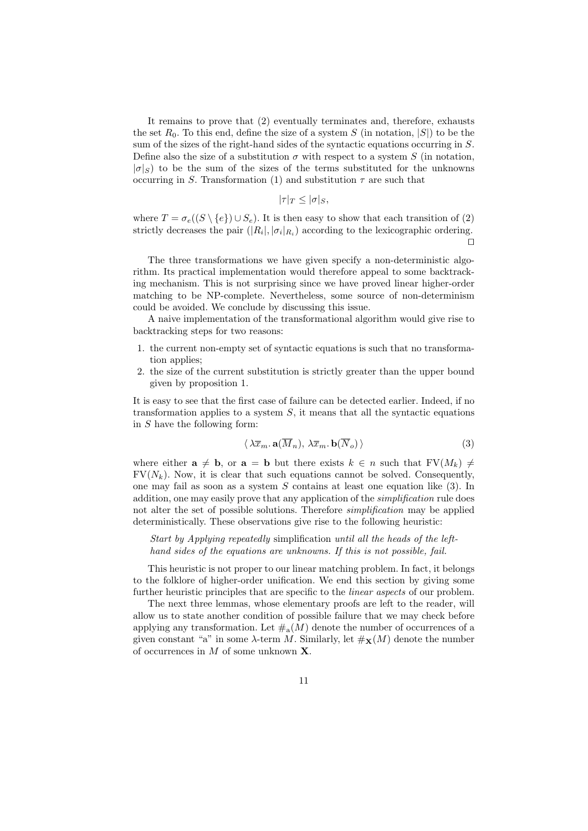It remains to prove that (2) eventually terminates and, therefore, exhausts the set  $R_0$ . To this end, define the size of a system  $S$  (in notation,  $|S|$ ) to be the sum of the sizes of the right-hand sides of the syntactic equations occurring in S. Define also the size of a substitution  $\sigma$  with respect to a system S (in notation,  $|\sigma|_S$ ) to be the sum of the sizes of the terms substituted for the unknowns occurring in S. Transformation (1) and substitution  $\tau$  are such that

$$
|\tau|_T \leq |\sigma|_S,
$$

where  $T = \sigma_e((S \setminus \{e\}) \cup S_e)$ . It is then easy to show that each transition of (2) strictly decreases the pair  $(|R_i|, |\sigma_i|_{R_i})$  according to the lexicographic ordering.  $\Box$ 

The three transformations we have given specify a non-deterministic algorithm. Its practical implementation would therefore appeal to some backtracking mechanism. This is not surprising since we have proved linear higher-order matching to be NP-complete. Nevertheless, some source of non-determinism could be avoided. We conclude by discussing this issue.

A naive implementation of the transformational algorithm would give rise to backtracking steps for two reasons:

- 1. the current non-empty set of syntactic equations is such that no transformation applies;
- 2. the size of the current substitution is strictly greater than the upper bound given by proposition 1.

It is easy to see that the first case of failure can be detected earlier. Indeed, if no transformation applies to a system  $S$ , it means that all the syntactic equations in  $S$  have the following form:

$$
\langle \lambda \overline{x}_m . \mathbf{a}(\overline{M}_n), \lambda \overline{x}_m . \mathbf{b}(\overline{N}_o) \rangle \tag{3}
$$

where either  $\mathbf{a} \neq \mathbf{b}$ , or  $\mathbf{a} = \mathbf{b}$  but there exists  $k \in n$  such that  $FV(M_k) \neq$  $FV(N_k)$ . Now, it is clear that such equations cannot be solved. Consequently, one may fail as soon as a system  $S$  contains at least one equation like  $(3)$ . In addition, one may easily prove that any application of the *simplification* rule does not alter the set of possible solutions. Therefore simplification may be applied deterministically. These observations give rise to the following heuristic:

Start by Applying repeatedly simplification until all the heads of the lefthand sides of the equations are unknowns. If this is not possible, fail.

This heuristic is not proper to our linear matching problem. In fact, it belongs to the folklore of higher-order unification. We end this section by giving some further heuristic principles that are specific to the *linear aspects* of our problem.

The next three lemmas, whose elementary proofs are left to the reader, will allow us to state another condition of possible failure that we may check before applying any transformation. Let  $\#_{a}(M)$  denote the number of occurrences of a given constant "a" in some  $\lambda$ -term M. Similarly, let  $\#_{\mathbf{X}}(M)$  denote the number of occurrences in  $M$  of some unknown  $X$ .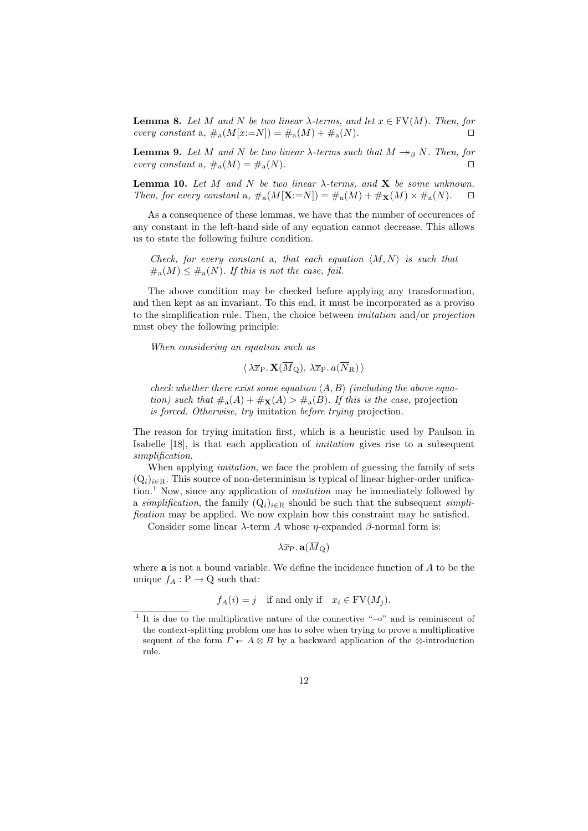**Lemma 8.** Let M and N be two linear  $\lambda$ -terms, and let  $x \in FV(M)$ . Then, for every constant a,  $\#_{a}(M[x:=N]) = \#_{a}(M) + \#_{a}(N)$ .

**Lemma 9.** Let M and N be two linear  $\lambda$ -terms such that  $M \rightarrow_{\beta} N$ . Then, for every constant a,  $\#_a(M) = \#_a(N)$ .

**Lemma 10.** Let M and N be two linear  $\lambda$ -terms, and **X** be some unknown. Then, for every constant a,  $\#_a(M[\mathbf{X}:=N]) = \#_a(M) + \#_X(M) \times \#_a(N)$ .  $\Box$ 

As a consequence of these lemmas, we have that the number of occurences of any constant in the left-hand side of any equation cannot decrease. This allows us to state the following failure condition.

Check, for every constant a, that each equation  $\langle M, N \rangle$  is such that  $\#_{a}(M) \leq \#_{a}(N)$ . If this is not the case, fail.

The above condition may be checked before applying any transformation, and then kept as an invariant. To this end, it must be incorporated as a proviso to the simplification rule. Then, the choice between imitation and/or projection must obey the following principle:

When considering an equation such as

 $\langle \lambda \overline{x}_{\mathrm{P}} \cdot \mathbf{X}(\overline{M}_{\mathrm{Q}}), \lambda \overline{x}_{\mathrm{P}} \cdot a(\overline{N}_{\mathrm{R}}) \rangle$ 

check whether there exist some equation  $\langle A, B \rangle$  (including the above equation) such that  $\#_{a}(A) + \#_{\mathbf{X}}(A) > \#_{a}(B)$ . If this is the case, projection is forced. Otherwise, try imitation before trying projection.

The reason for trying imitation first, which is a heuristic used by Paulson in Isabelle [18], is that each application of imitation gives rise to a subsequent simplification.

When applying *imitation*, we face the problem of guessing the family of sets  $(Q_i)_{i\in\mathbb{R}}$ . This source of non-determinism is typical of linear higher-order unification.<sup>1</sup> Now, since any application of *imitation* may be immediately followed by a simplification, the family  $(Q_i)_{i\in\mathbb{R}}$  should be such that the subsequent simplification may be applied. We now explain how this constraint may be satisfied.

Consider some linear  $\lambda$ -term A whose  $\eta$ -expanded  $\beta$ -normal form is:

 $\lambda \overline{x}_{P}$ .  $\mathbf{a}(\overline{M}_{Q})$ 

where  $a$  is not a bound variable. We define the incidence function of  $A$  to be the unique  $f_A: P \to Q$  such that:

$$
f_A(i) = j \quad \text{if and only if} \quad x_i \in \text{FV}(M_j).
$$

<sup>1</sup> It is due to the multiplicative nature of the connective "−◦" and is reminiscent of the context-splitting problem one has to solve when trying to prove a multiplicative sequent of the form  $\Gamma$   $\vdash$  A  $\otimes$  B by a backward application of the  $\otimes$ -introduction rule.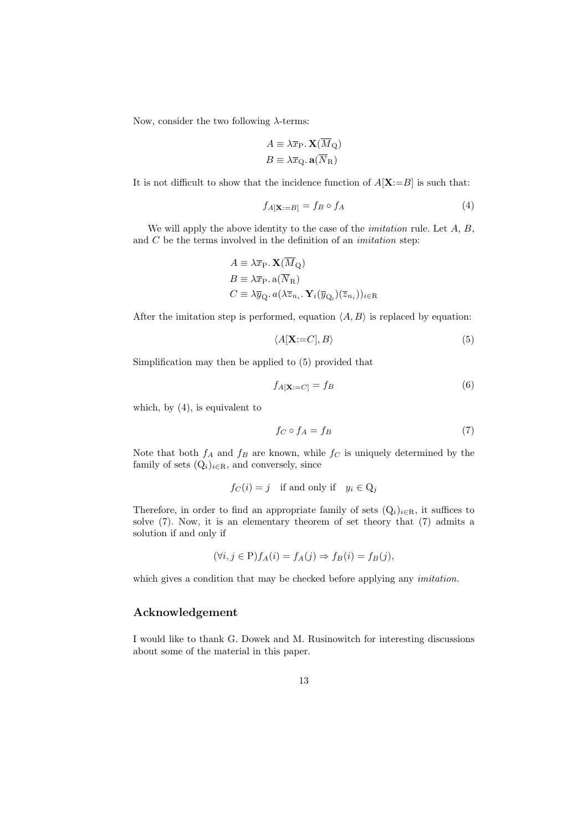Now, consider the two following  $\lambda$ -terms:

$$
A \equiv \lambda \overline{x}_{P}.\mathbf{X}(\overline{M}_{Q})
$$

$$
B \equiv \lambda \overline{x}_{Q}.\mathbf{a}(\overline{N}_{R})
$$

It is not difficult to show that the incidence function of  $A[\mathbf{X}:=B]$  is such that:

$$
f_{A[\mathbf{X}:=B]} = f_B \circ f_A \tag{4}
$$

We will apply the above identity to the case of the *imitation* rule. Let A, B, and  $C$  be the terms involved in the definition of an *imitation* step:

$$
A \equiv \lambda \overline{x}_{P}.\mathbf{X}(M_{Q})
$$
  
\n
$$
B \equiv \lambda \overline{x}_{P}.\mathbf{a}(\overline{N}_{R})
$$
  
\n
$$
C \equiv \lambda \overline{y}_{Q}.\mathbf{a}(\lambda \overline{z}_{n_{i}}.\mathbf{Y}_{i}(\overline{y}_{Q_{i}})(\overline{z}_{n_{i}}))_{i \in R}
$$

After the imitation step is performed, equation  $\langle A, B \rangle$  is replaced by equation:

$$
\langle A[\mathbf{X}:=C], B \rangle \tag{5}
$$

Simplification may then be applied to (5) provided that

$$
f_{A[\mathbf{X}:=C]} = f_B \tag{6}
$$

which, by (4), is equivalent to

$$
f_C \circ f_A = f_B \tag{7}
$$

Note that both  $f_A$  and  $f_B$  are known, while  $f_C$  is uniquely determined by the family of sets  $(Q_i)_{i \in \mathbb{R}}$ , and conversely, since

$$
f_C(i) = j
$$
 if and only if  $y_i \in Q_j$ 

Therefore, in order to find an appropriate family of sets  $(Q_i)_{i\in\mathbb{R}}$ , it suffices to solve (7). Now, it is an elementary theorem of set theory that (7) admits a solution if and only if

$$
(\forall i, j \in P) f_A(i) = f_A(j) \Rightarrow f_B(i) = f_B(j),
$$

which gives a condition that may be checked before applying any *imitation*.

# Acknowledgement

I would like to thank G. Dowek and M. Rusinowitch for interesting discussions about some of the material in this paper.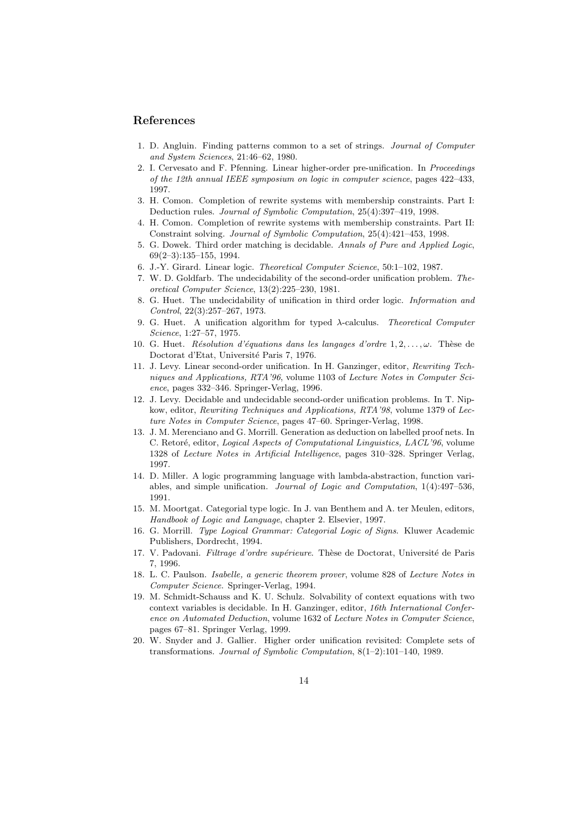### References

- 1. D. Angluin. Finding patterns common to a set of strings. Journal of Computer and System Sciences, 21:46–62, 1980.
- 2. I. Cervesato and F. Pfenning. Linear higher-order pre-unification. In Proceedings of the 12th annual IEEE symposium on logic in computer science, pages 422–433, 1997.
- 3. H. Comon. Completion of rewrite systems with membership constraints. Part I: Deduction rules. Journal of Symbolic Computation, 25(4):397–419, 1998.
- 4. H. Comon. Completion of rewrite systems with membership constraints. Part II: Constraint solving. Journal of Symbolic Computation, 25(4):421–453, 1998.
- 5. G. Dowek. Third order matching is decidable. Annals of Pure and Applied Logic, 69(2–3):135–155, 1994.
- 6. J.-Y. Girard. Linear logic. Theoretical Computer Science, 50:1–102, 1987.
- 7. W. D. Goldfarb. The undecidability of the second-order unification problem. Theoretical Computer Science, 13(2):225–230, 1981.
- 8. G. Huet. The undecidability of unification in third order logic. Information and Control, 22(3):257–267, 1973.
- 9. G. Huet. A unification algorithm for typed λ-calculus. Theoretical Computer Science, 1:27–57, 1975.
- 10. G. Huet. Résolution d'équations dans les languages d'ordre  $1, 2, \ldots, \omega$ . Thèse de Doctorat d'Etat, Université Paris 7, 1976.
- 11. J. Levy. Linear second-order unification. In H. Ganzinger, editor, Rewriting Techniques and Applications, RTA'96, volume 1103 of Lecture Notes in Computer Science, pages 332–346. Springer-Verlag, 1996.
- 12. J. Levy. Decidable and undecidable second-order unification problems. In T. Nipkow, editor, Rewriting Techniques and Applications, RTA'98, volume 1379 of Lecture Notes in Computer Science, pages 47–60. Springer-Verlag, 1998.
- 13. J. M. Merenciano and G. Morrill. Generation as deduction on labelled proof nets. In C. Retoré, editor, Logical Aspects of Computational Linguistics, LACL'96, volume 1328 of Lecture Notes in Artificial Intelligence, pages 310–328. Springer Verlag, 1997.
- 14. D. Miller. A logic programming language with lambda-abstraction, function variables, and simple unification. Journal of Logic and Computation, 1(4):497–536, 1991.
- 15. M. Moortgat. Categorial type logic. In J. van Benthem and A. ter Meulen, editors, Handbook of Logic and Language, chapter 2. Elsevier, 1997.
- 16. G. Morrill. Type Logical Grammar: Categorial Logic of Signs. Kluwer Academic Publishers, Dordrecht, 1994.
- 17. V. Padovani. Filtrage d'ordre supérieure. Thèse de Doctorat, Université de Paris 7, 1996.
- 18. L. C. Paulson. Isabelle, a generic theorem prover, volume 828 of Lecture Notes in Computer Science. Springer-Verlag, 1994.
- 19. M. Schmidt-Schauss and K. U. Schulz. Solvability of context equations with two context variables is decidable. In H. Ganzinger, editor, 16th International Conference on Automated Deduction, volume 1632 of Lecture Notes in Computer Science, pages 67–81. Springer Verlag, 1999.
- 20. W. Snyder and J. Gallier. Higher order unification revisited: Complete sets of transformations. Journal of Symbolic Computation, 8(1–2):101–140, 1989.